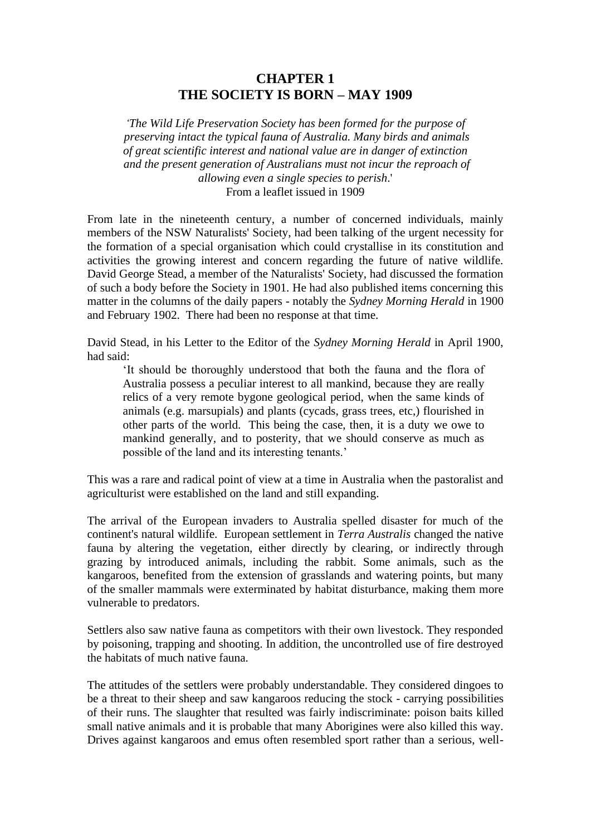## **CHAPTER 1 THE SOCIETY IS BORN – MAY 1909**

*'The Wild Life Preservation Society has been formed for the purpose of preserving intact the typical fauna of Australia. Many birds and animals of great scientific interest and national value are in danger of extinction and the present generation of Australians must not incur the reproach of allowing even a single species to perish*.' From a leaflet issued in 1909

From late in the nineteenth century, a number of concerned individuals, mainly members of the NSW Naturalists' Society, had been talking of the urgent necessity for the formation of a special organisation which could crystallise in its constitution and activities the growing interest and concern regarding the future of native wildlife. David George Stead, a member of the Naturalists' Society, had discussed the formation of such a body before the Society in 1901. He had also published items concerning this matter in the columns of the daily papers - notably the *Sydney Morning Herald* in 1900 and February 1902. There had been no response at that time.

David Stead, in his Letter to the Editor of the *Sydney Morning Herald* in April 1900, had said:

'It should be thoroughly understood that both the fauna and the flora of Australia possess a peculiar interest to all mankind, because they are really relics of a very remote bygone geological period, when the same kinds of animals (e.g. marsupials) and plants (cycads, grass trees, etc,) flourished in other parts of the world. This being the case, then, it is a duty we owe to mankind generally, and to posterity, that we should conserve as much as possible of the land and its interesting tenants.'

This was a rare and radical point of view at a time in Australia when the pastoralist and agriculturist were established on the land and still expanding.

The arrival of the European invaders to Australia spelled disaster for much of the continent's natural wildlife. European settlement in *Terra Australis* changed the native fauna by altering the vegetation, either directly by clearing, or indirectly through grazing by introduced animals, including the rabbit. Some animals, such as the kangaroos, benefited from the extension of grasslands and watering points, but many of the smaller mammals were exterminated by habitat disturbance, making them more vulnerable to predators.

Settlers also saw native fauna as competitors with their own livestock. They responded by poisoning, trapping and shooting. In addition, the uncontrolled use of fire destroyed the habitats of much native fauna.

The attitudes of the settlers were probably understandable. They considered dingoes to be a threat to their sheep and saw kangaroos reducing the stock - carrying possibilities of their runs. The slaughter that resulted was fairly indiscriminate: poison baits killed small native animals and it is probable that many Aborigines were also killed this way. Drives against kangaroos and emus often resembled sport rather than a serious, well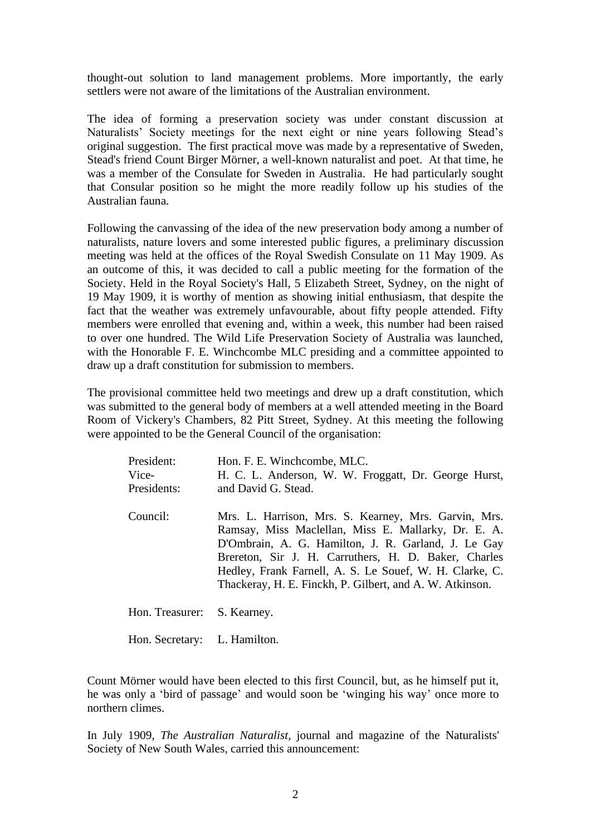thought-out solution to land management problems. More importantly, the early settlers were not aware of the limitations of the Australian environment.

The idea of forming a preservation society was under constant discussion at Naturalists' Society meetings for the next eight or nine years following Stead's original suggestion. The first practical move was made by a representative of Sweden, Stead's friend Count Birger Mörner, a well-known naturalist and poet. At that time, he was a member of the Consulate for Sweden in Australia. He had particularly sought that Consular position so he might the more readily follow up his studies of the Australian fauna.

Following the canvassing of the idea of the new preservation body among a number of naturalists, nature lovers and some interested public figures, a preliminary discussion meeting was held at the offices of the Royal Swedish Consulate on 11 May 1909. As an outcome of this, it was decided to call a public meeting for the formation of the Society. Held in the Royal Society's Hall, 5 Elizabeth Street, Sydney, on the night of 19 May 1909, it is worthy of mention as showing initial enthusiasm, that despite the fact that the weather was extremely unfavourable, about fifty people attended. Fifty members were enrolled that evening and, within a week, this number had been raised to over one hundred. The Wild Life Preservation Society of Australia was launched, with the Honorable F. E. Winchcombe MLC presiding and a committee appointed to draw up a draft constitution for submission to members.

The provisional committee held two meetings and drew up a draft constitution, which was submitted to the general body of members at a well attended meeting in the Board Room of Vickery's Chambers, 82 Pitt Street, Sydney. At this meeting the following were appointed to be the General Council of the organisation:

| President:<br>Vice-<br>Presidents: | Hon. F. E. Winchcombe, MLC.<br>H. C. L. Anderson, W. W. Froggatt, Dr. George Hurst,<br>and David G. Stead.                                                                                                                                                                                                                                        |
|------------------------------------|---------------------------------------------------------------------------------------------------------------------------------------------------------------------------------------------------------------------------------------------------------------------------------------------------------------------------------------------------|
| Council:                           | Mrs. L. Harrison, Mrs. S. Kearney, Mrs. Garvin, Mrs.<br>Ramsay, Miss Maclellan, Miss E. Mallarky, Dr. E. A.<br>D'Ombrain, A. G. Hamilton, J. R. Garland, J. Le Gay<br>Brereton, Sir J. H. Carruthers, H. D. Baker, Charles<br>Hedley, Frank Farnell, A. S. Le Souef, W. H. Clarke, C.<br>Thackeray, H. E. Finckh, P. Gilbert, and A. W. Atkinson. |
| Hon. Treasurer:                    | S. Kearney.                                                                                                                                                                                                                                                                                                                                       |
| Hon. Secretary: L. Hamilton.       |                                                                                                                                                                                                                                                                                                                                                   |

Count Mörner would have been elected to this first Council, but, as he himself put it, he was only a 'bird of passage' and would soon be 'winging his way' once more to northern climes.

In July 1909, *The Australian Naturalist,* journal and magazine of the Naturalists' Society of New South Wales, carried this announcement: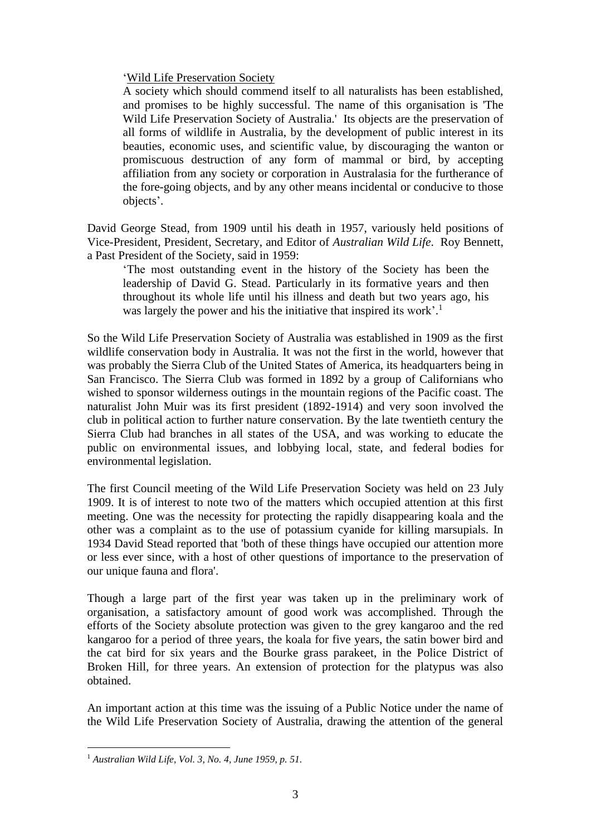## 'Wild Life Preservation Society

A society which should commend itself to all naturalists has been established, and promises to be highly successful. The name of this organisation is 'The Wild Life Preservation Society of Australia.' Its objects are the preservation of all forms of wildlife in Australia, by the development of public interest in its beauties, economic uses, and scientific value, by discouraging the wanton or promiscuous destruction of any form of mammal or bird, by accepting affiliation from any society or corporation in Australasia for the furtherance of the fore-going objects, and by any other means incidental or conducive to those objects'.

David George Stead, from 1909 until his death in 1957, variously held positions of Vice-President, President, Secretary, and Editor of *Australian Wild Life*. Roy Bennett, a Past President of the Society, said in 1959:

'The most outstanding event in the history of the Society has been the leadership of David G. Stead. Particularly in its formative years and then throughout its whole life until his illness and death but two years ago, his was largely the power and his the initiative that inspired its work'.<sup>1</sup>

So the Wild Life Preservation Society of Australia was established in 1909 as the first wildlife conservation body in Australia. It was not the first in the world, however that was probably the Sierra Club of the United States of America, its headquarters being in San Francisco. The Sierra Club was formed in 1892 by a group of Californians who wished to sponsor wilderness outings in the mountain regions of the Pacific coast. The naturalist John Muir was its first president (1892-1914) and very soon involved the club in political action to further nature conservation. By the late twentieth century the Sierra Club had branches in all states of the USA, and was working to educate the public on environmental issues, and lobbying local, state, and federal bodies for environmental legislation.

The first Council meeting of the Wild Life Preservation Society was held on 23 July 1909. It is of interest to note two of the matters which occupied attention at this first meeting. One was the necessity for protecting the rapidly disappearing koala and the other was a complaint as to the use of potassium cyanide for killing marsupials. In 1934 David Stead reported that 'both of these things have occupied our attention more or less ever since, with a host of other questions of importance to the preservation of our unique fauna and flora'.

Though a large part of the first year was taken up in the preliminary work of organisation, a satisfactory amount of good work was accomplished. Through the efforts of the Society absolute protection was given to the grey kangaroo and the red kangaroo for a period of three years, the koala for five years, the satin bower bird and the cat bird for six years and the Bourke grass parakeet, in the Police District of Broken Hill, for three years. An extension of protection for the platypus was also obtained.

An important action at this time was the issuing of a Public Notice under the name of the Wild Life Preservation Society of Australia, drawing the attention of the general

<sup>1</sup> *Australian Wild Life, Vol. 3, No. 4, June 1959, p. 51.*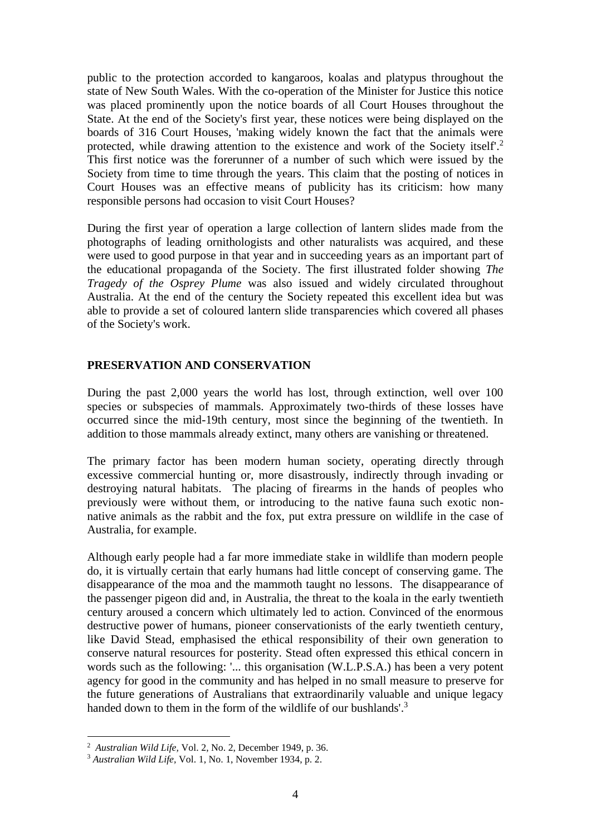public to the protection accorded to kangaroos, koalas and platypus throughout the state of New South Wales. With the co-operation of the Minister for Justice this notice was placed prominently upon the notice boards of all Court Houses throughout the State. At the end of the Society's first year, these notices were being displayed on the boards of 316 Court Houses, 'making widely known the fact that the animals were protected, while drawing attention to the existence and work of the Society itself'. 2 This first notice was the forerunner of a number of such which were issued by the Society from time to time through the years. This claim that the posting of notices in Court Houses was an effective means of publicity has its criticism: how many responsible persons had occasion to visit Court Houses?

During the first year of operation a large collection of lantern slides made from the photographs of leading ornithologists and other naturalists was acquired, and these were used to good purpose in that year and in succeeding years as an important part of the educational propaganda of the Society. The first illustrated folder showing *The Tragedy of the Osprey Plume* was also issued and widely circulated throughout Australia. At the end of the century the Society repeated this excellent idea but was able to provide a set of coloured lantern slide transparencies which covered all phases of the Society's work.

## **PRESERVATION AND CONSERVATION**

During the past 2,000 years the world has lost, through extinction, well over 100 species or subspecies of mammals. Approximately two-thirds of these losses have occurred since the mid-19th century, most since the beginning of the twentieth. In addition to those mammals already extinct, many others are vanishing or threatened.

The primary factor has been modern human society, operating directly through excessive commercial hunting or, more disastrously, indirectly through invading or destroying natural habitats. The placing of firearms in the hands of peoples who previously were without them, or introducing to the native fauna such exotic nonnative animals as the rabbit and the fox, put extra pressure on wildlife in the case of Australia, for example.

Although early people had a far more immediate stake in wildlife than modern people do, it is virtually certain that early humans had little concept of conserving game. The disappearance of the moa and the mammoth taught no lessons. The disappearance of the passenger pigeon did and, in Australia, the threat to the koala in the early twentieth century aroused a concern which ultimately led to action. Convinced of the enormous destructive power of humans, pioneer conservationists of the early twentieth century, like David Stead, emphasised the ethical responsibility of their own generation to conserve natural resources for posterity. Stead often expressed this ethical concern in words such as the following: '... this organisation (W.L.P.S.A.) has been a very potent agency for good in the community and has helped in no small measure to preserve for the future generations of Australians that extraordinarily valuable and unique legacy handed down to them in the form of the wildlife of our bushlands'.<sup>3</sup>

<sup>2</sup> *Australian Wild Life,* Vol. 2, No. 2, December 1949, p. 36.

<sup>3</sup> *Australian Wild Life,* Vol. 1, No. 1, November 1934, p. 2.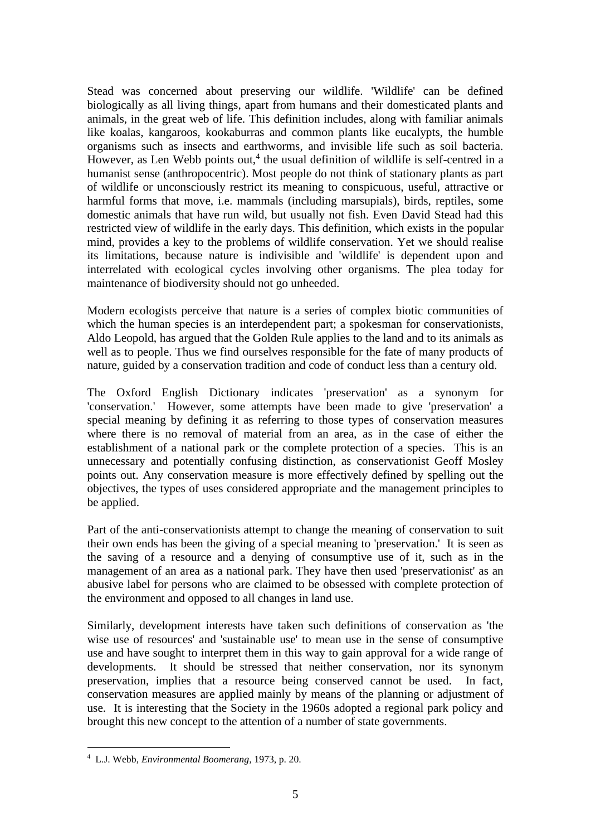Stead was concerned about preserving our wildlife. 'Wildlife' can be defined biologically as all living things, apart from humans and their domesticated plants and animals, in the great web of life. This definition includes, along with familiar animals like koalas, kangaroos, kookaburras and common plants like eucalypts, the humble organisms such as insects and earthworms, and invisible life such as soil bacteria. However, as Len Webb points out,<sup>4</sup> the usual definition of wildlife is self-centred in a humanist sense (anthropocentric). Most people do not think of stationary plants as part of wildlife or unconsciously restrict its meaning to conspicuous, useful, attractive or harmful forms that move, i.e. mammals (including marsupials), birds, reptiles, some domestic animals that have run wild, but usually not fish. Even David Stead had this restricted view of wildlife in the early days. This definition, which exists in the popular mind, provides a key to the problems of wildlife conservation. Yet we should realise its limitations, because nature is indivisible and 'wildlife' is dependent upon and interrelated with ecological cycles involving other organisms. The plea today for maintenance of biodiversity should not go unheeded.

Modern ecologists perceive that nature is a series of complex biotic communities of which the human species is an interdependent part; a spokesman for conservationists, Aldo Leopold, has argued that the Golden Rule applies to the land and to its animals as well as to people. Thus we find ourselves responsible for the fate of many products of nature, guided by a conservation tradition and code of conduct less than a century old.

The Oxford English Dictionary indicates 'preservation' as a synonym for 'conservation.' However, some attempts have been made to give 'preservation' a special meaning by defining it as referring to those types of conservation measures where there is no removal of material from an area, as in the case of either the establishment of a national park or the complete protection of a species. This is an unnecessary and potentially confusing distinction, as conservationist Geoff Mosley points out. Any conservation measure is more effectively defined by spelling out the objectives, the types of uses considered appropriate and the management principles to be applied.

Part of the anti-conservationists attempt to change the meaning of conservation to suit their own ends has been the giving of a special meaning to 'preservation.' It is seen as the saving of a resource and a denying of consumptive use of it, such as in the management of an area as a national park. They have then used 'preservationist' as an abusive label for persons who are claimed to be obsessed with complete protection of the environment and opposed to all changes in land use.

Similarly, development interests have taken such definitions of conservation as 'the wise use of resources' and 'sustainable use' to mean use in the sense of consumptive use and have sought to interpret them in this way to gain approval for a wide range of developments. It should be stressed that neither conservation, nor its synonym preservation, implies that a resource being conserved cannot be used. In fact, conservation measures are applied mainly by means of the planning or adjustment of use. It is interesting that the Society in the 1960s adopted a regional park policy and brought this new concept to the attention of a number of state governments.

<sup>4</sup> L.J. Webb, *Environmental Boomerang,* 1973, p. 20.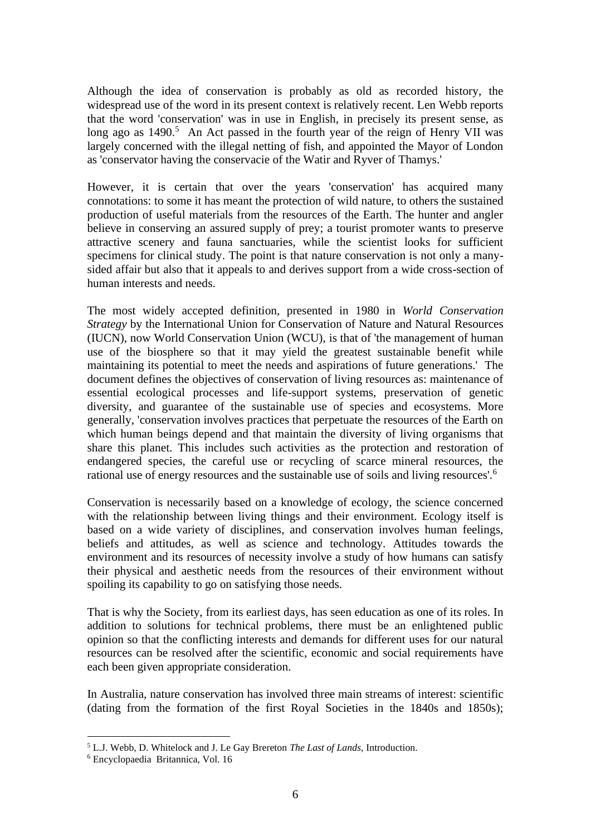Although the idea of conservation is probably as old as recorded history, the widespread use of the word in its present context is relatively recent. Len Webb reports that the word 'conservation' was in use in English, in precisely its present sense, as long ago as  $1490$ <sup>5</sup>. An Act passed in the fourth year of the reign of Henry VII was largely concerned with the illegal netting of fish, and appointed the Mayor of London as 'conservator having the conservacie of the Watir and Ryver of Thamys.'

However, it is certain that over the years 'conservation' has acquired many connotations: to some it has meant the protection of wild nature, to others the sustained production of useful materials from the resources of the Earth. The hunter and angler believe in conserving an assured supply of prey; a tourist promoter wants to preserve attractive scenery and fauna sanctuaries, while the scientist looks for sufficient specimens for clinical study. The point is that nature conservation is not only a manysided affair but also that it appeals to and derives support from a wide cross-section of human interests and needs.

The most widely accepted definition, presented in 1980 in *World Conservation Strategy* by the International Union for Conservation of Nature and Natural Resources (IUCN), now World Conservation Union (WCU), is that of 'the management of human use of the biosphere so that it may yield the greatest sustainable benefit while maintaining its potential to meet the needs and aspirations of future generations.' The document defines the objectives of conservation of living resources as: maintenance of essential ecological processes and life-support systems, preservation of genetic diversity, and guarantee of the sustainable use of species and ecosystems. More generally, 'conservation involves practices that perpetuate the resources of the Earth on which human beings depend and that maintain the diversity of living organisms that share this planet. This includes such activities as the protection and restoration of endangered species, the careful use or recycling of scarce mineral resources, the rational use of energy resources and the sustainable use of soils and living resources'.<sup>6</sup>

Conservation is necessarily based on a knowledge of ecology, the science concerned with the relationship between living things and their environment. Ecology itself is based on a wide variety of disciplines, and conservation involves human feelings, beliefs and attitudes, as well as science and technology. Attitudes towards the environment and its resources of necessity involve a study of how humans can satisfy their physical and aesthetic needs from the resources of their environment without spoiling its capability to go on satisfying those needs.

That is why the Society, from its earliest days, has seen education as one of its roles. In addition to solutions for technical problems, there must be an enlightened public opinion so that the conflicting interests and demands for different uses for our natural resources can be resolved after the scientific, economic and social requirements have each been given appropriate consideration.

In Australia, nature conservation has involved three main streams of interest: scientific (dating from the formation of the first Royal Societies in the 1840s and 1850s);

<sup>5</sup> L.J. Webb, D. Whitelock and J. Le Gay Brereton *The Last of Lands,* Introduction.

<sup>6</sup> Encyclopaedia Britannica, Vol. 16